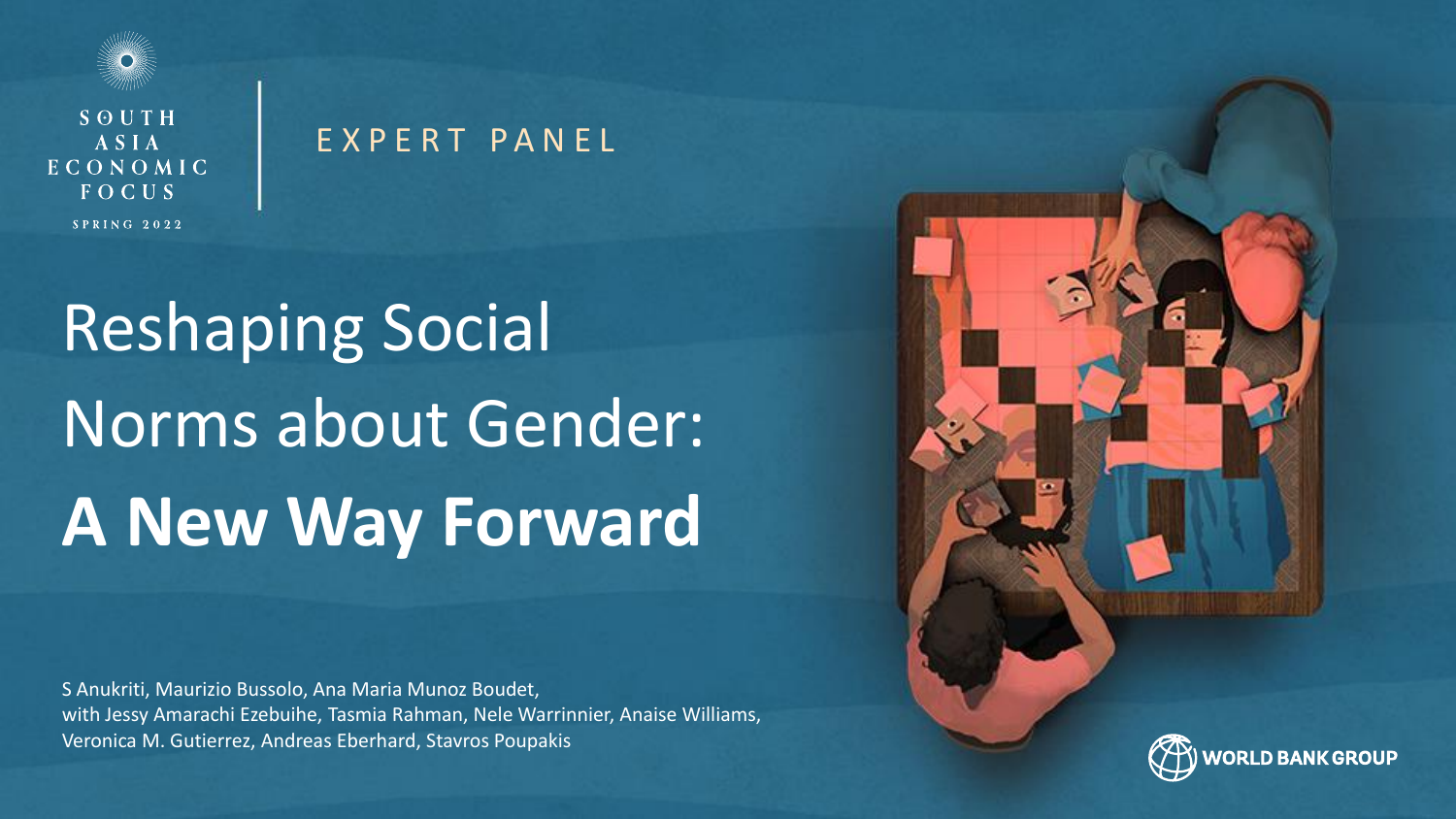

SOUTH ASIA ECONOMIC FOCUS  $SPRING 2022$ 

#### E X P E R T P A N E L

# Reshaping Social Norms about Gender: **A New Way Forward**

S Anukriti, Maurizio Bussolo, Ana Maria Munoz Boudet, with Jessy Amarachi Ezebuihe, Tasmia Rahman, Nele Warrinnier, Anaise Williams, Veronica M. Gutierrez, Andreas Eberhard, Stavros Poupakis

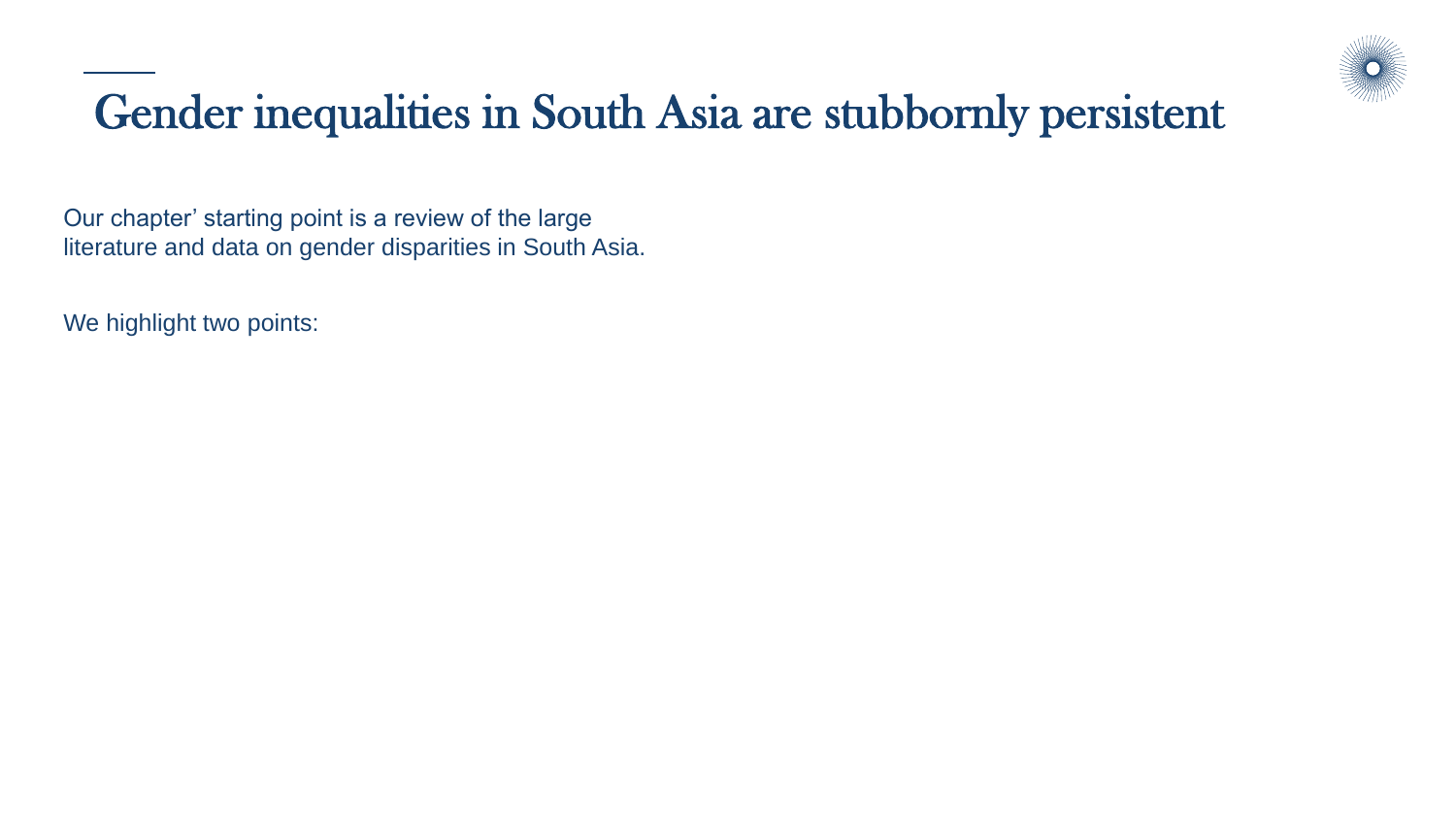

## Gender inequalities in South Asia are stubbornly persistent

Our chapter' starting point is a review of the large literature and data on gender disparities in South Asia.

We highlight two points: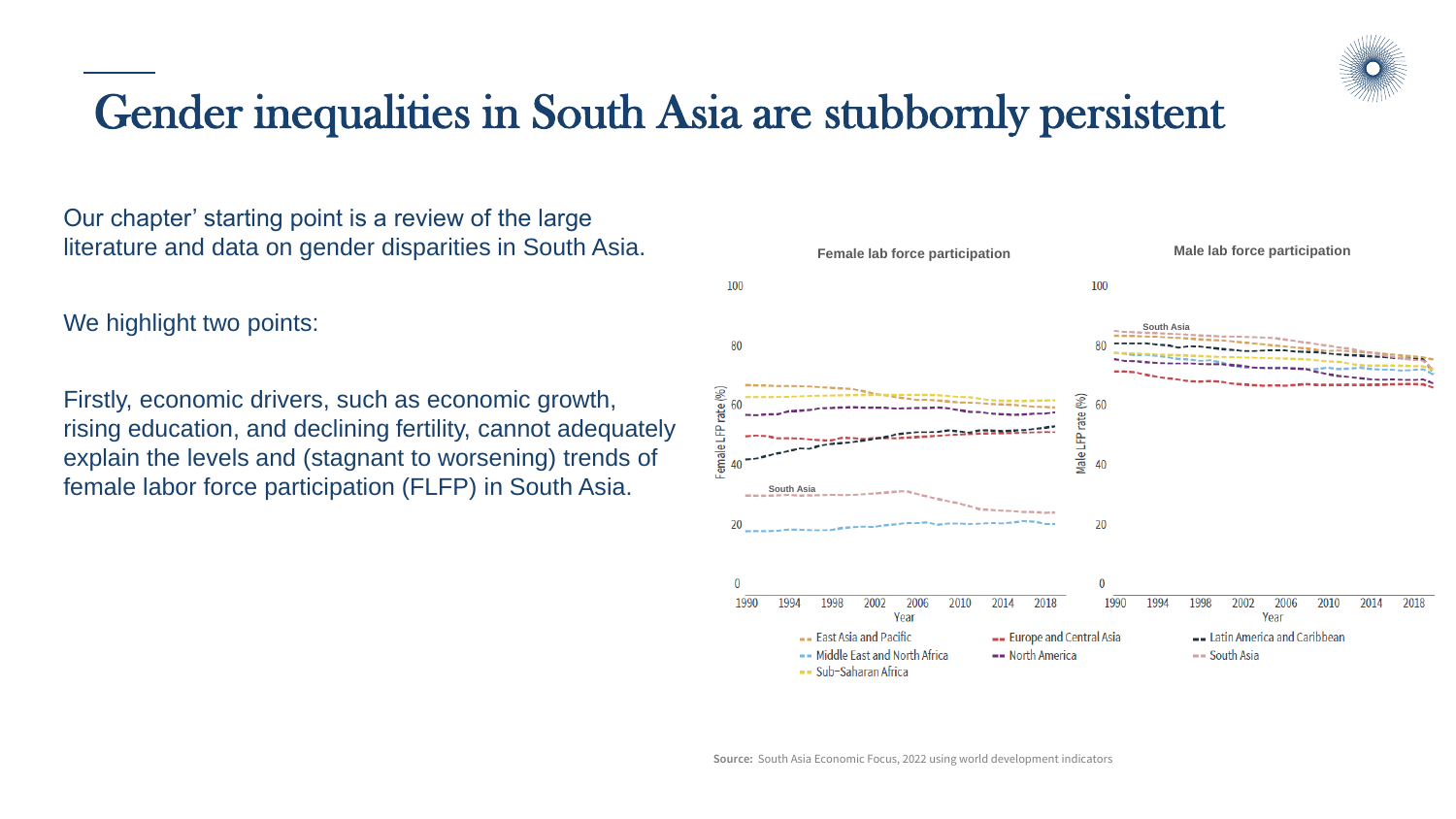

#### Gender inequalities in South Asia are stubbornly persistent

Our chapter' starting point is a review of the large literature and data on gender disparities in South Asia.

We highlight two points:

Firstly, economic drivers, such as economic growth, rising education, and declining fertility, cannot adequately explain the levels and (stagnant to worsening) trends of female labor force participation (FLFP) in South Asia.

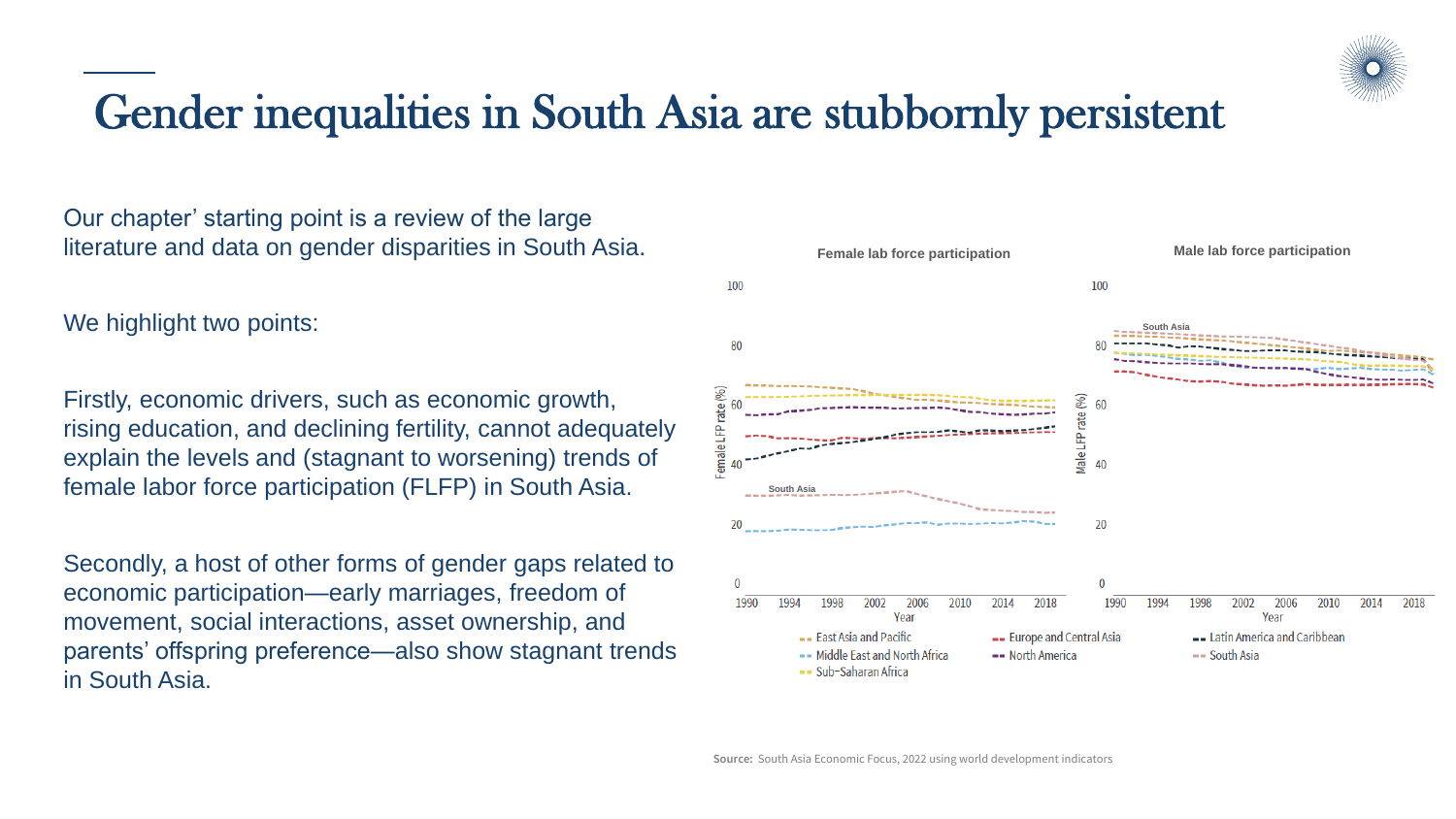

#### Gender inequalities in South Asia are stubbornly persistent

Our chapter' starting point is a review of the large literature and data on gender disparities in South Asia.

We highlight two points:

Firstly, economic drivers, such as economic growth, rising education, and declining fertility, cannot adequately explain the levels and (stagnant to worsening) trends of female labor force participation (FLFP) in South Asia.

Secondly, a host of other forms of gender gaps related to economic participation—early marriages, freedom of movement, social interactions, asset ownership, and parents' offspring preference—also show stagnant trends in South Asia.

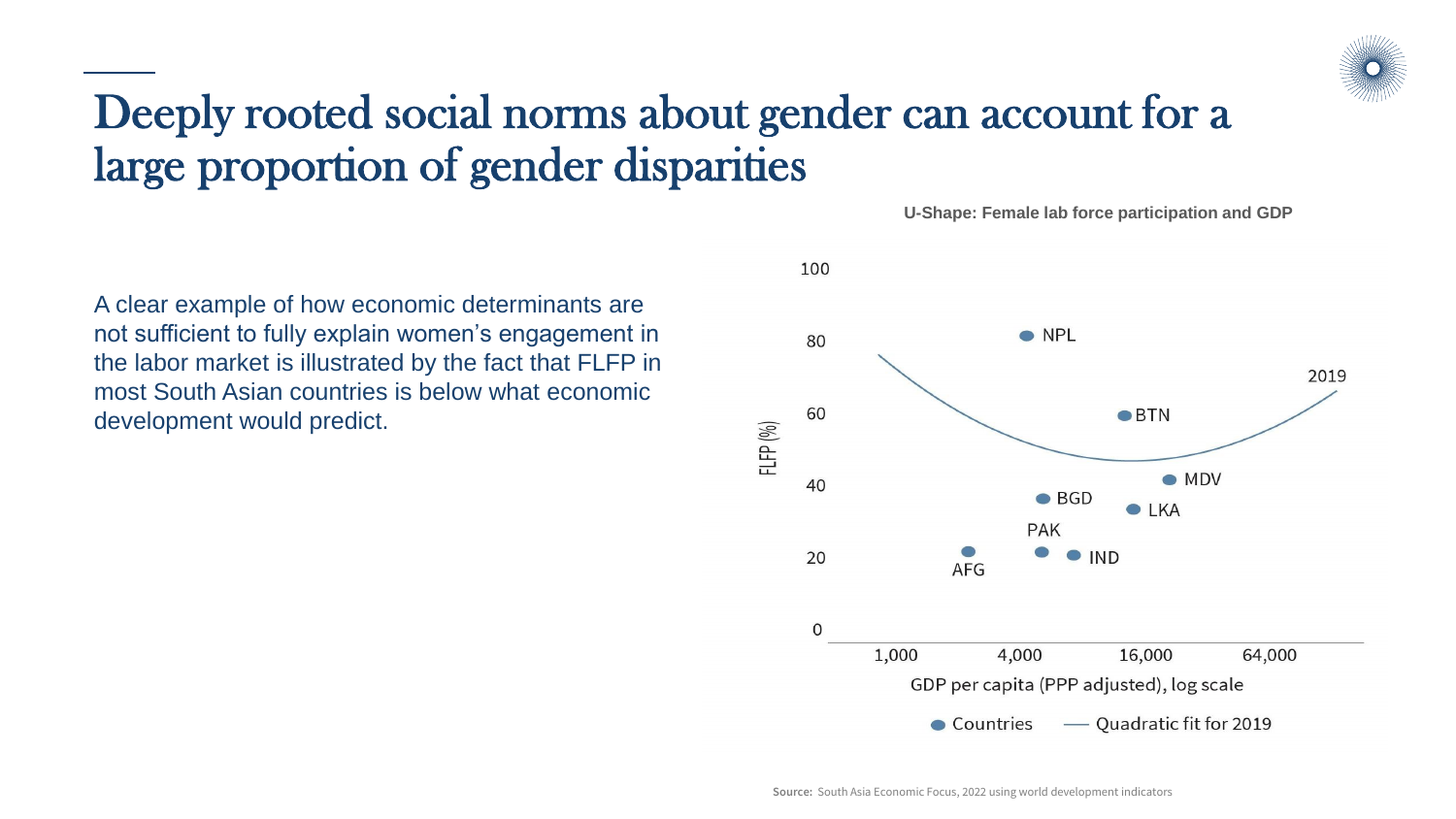

#### Deeply rooted social norms about gender can account for a large proportion of gender disparities

A clear example of how economic determinants are not sufficient to fully explain women's engagement in the labor market is illustrated by the fact that FLFP in most South Asian countries is below what economic development would predict.



**U-Shape: Female lab force participation and GDP**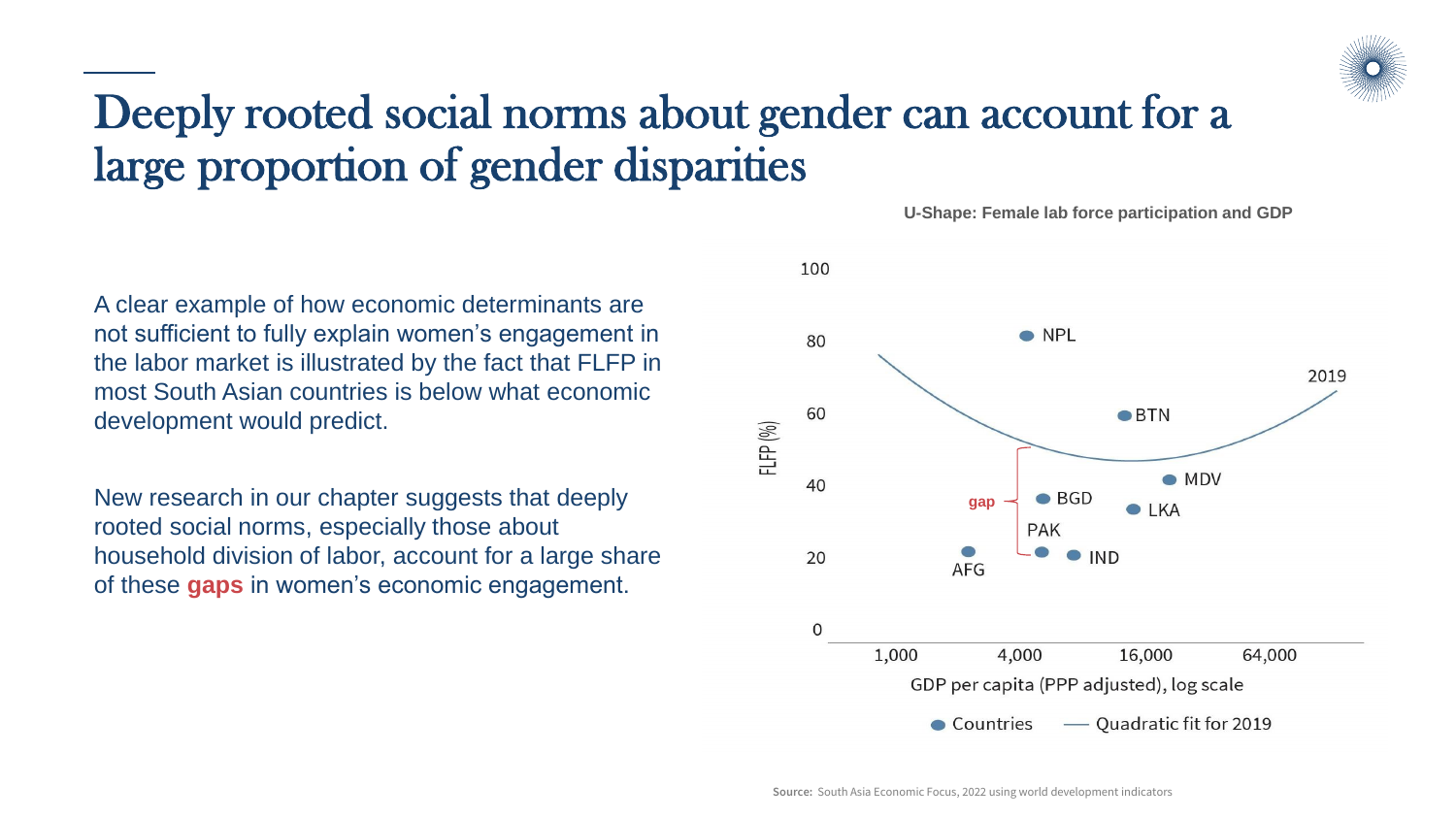

#### Deeply rooted social norms about gender can account for a large proportion of gender disparities

A clear example of how economic determinants are not sufficient to fully explain women's engagement in the labor market is illustrated by the fact that FLFP in most South Asian countries is below what economic development would predict.

New research in our chapter suggests that deeply rooted social norms, especially those about household division of labor, account for a large share of these **gaps** in women's economic engagement.



**U-Shape: Female lab force participation and GDP**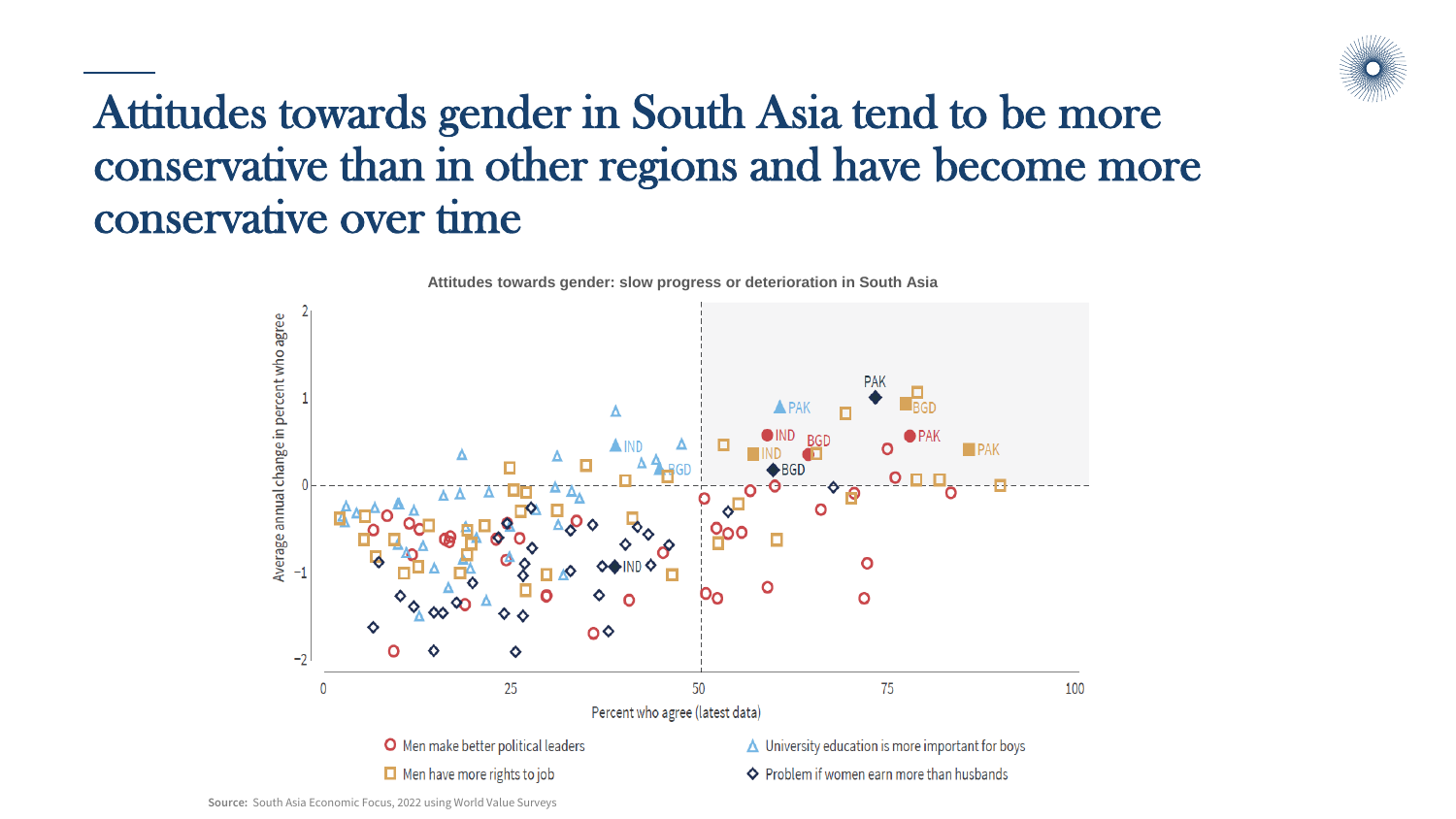

#### Attitudes towards gender in South Asia tend to be more conservative than in other regions and have become more conservative over time



**Attitudes towards gender: slow progress or deterioration in South Asia**

**Source:** South Asia Economic Focus, 2022 using World Value Surveys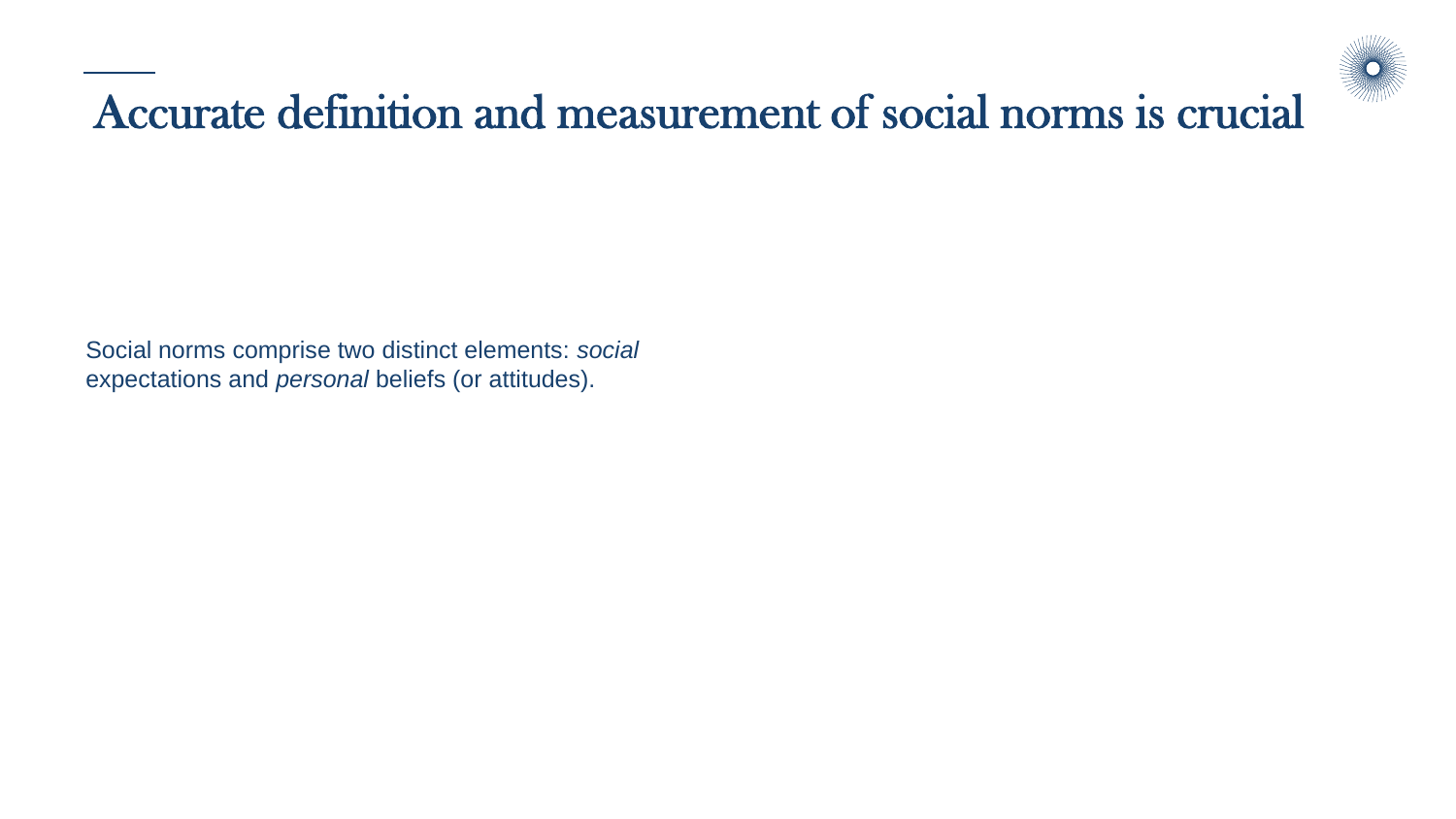

#### Accurate definition and measurement of social norms is crucial

Social norms comprise two distinct elements: *social* expectations and *personal* beliefs (or attitudes).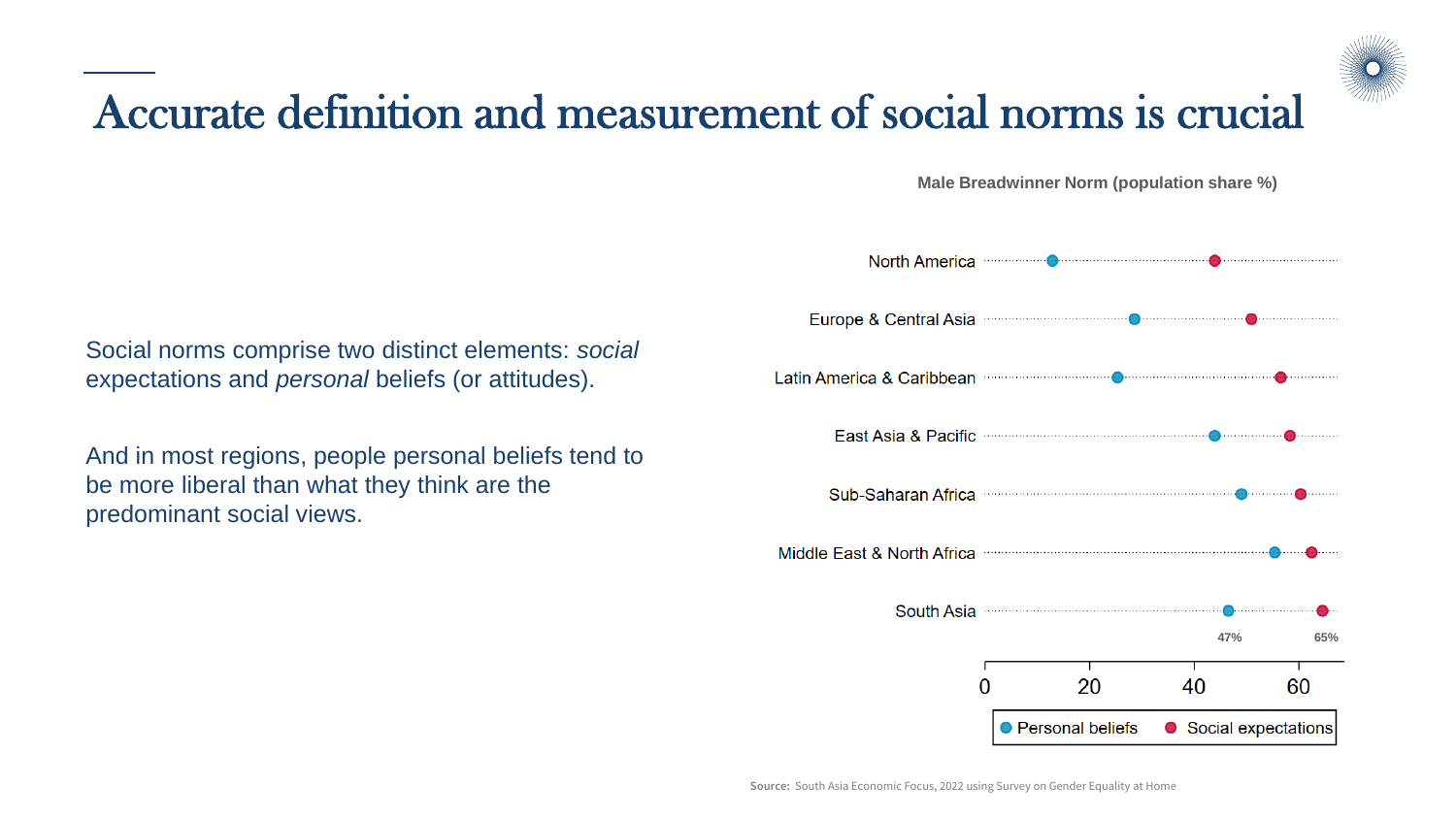

**Male Breadwinner Norm (population share %)**

Social norms comprise two distinct elements: *social* expectations and *personal* beliefs (or attitudes).

And in most regions, people personal beliefs tend to be more liberal than what they think are the predominant social views.

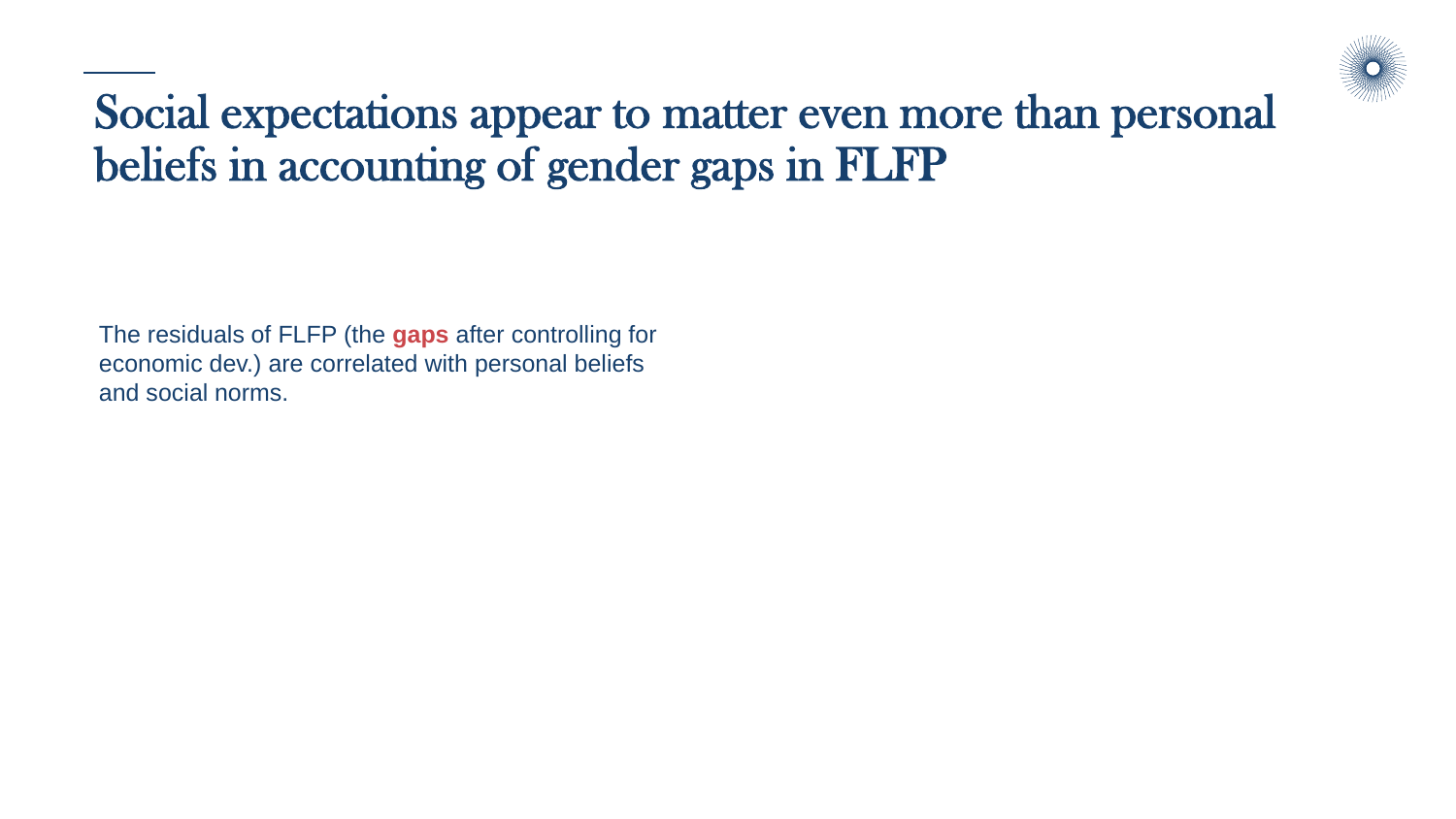

The residuals of FLFP (the **gaps** after controlling for economic dev.) are correlated with personal beliefs and social norms.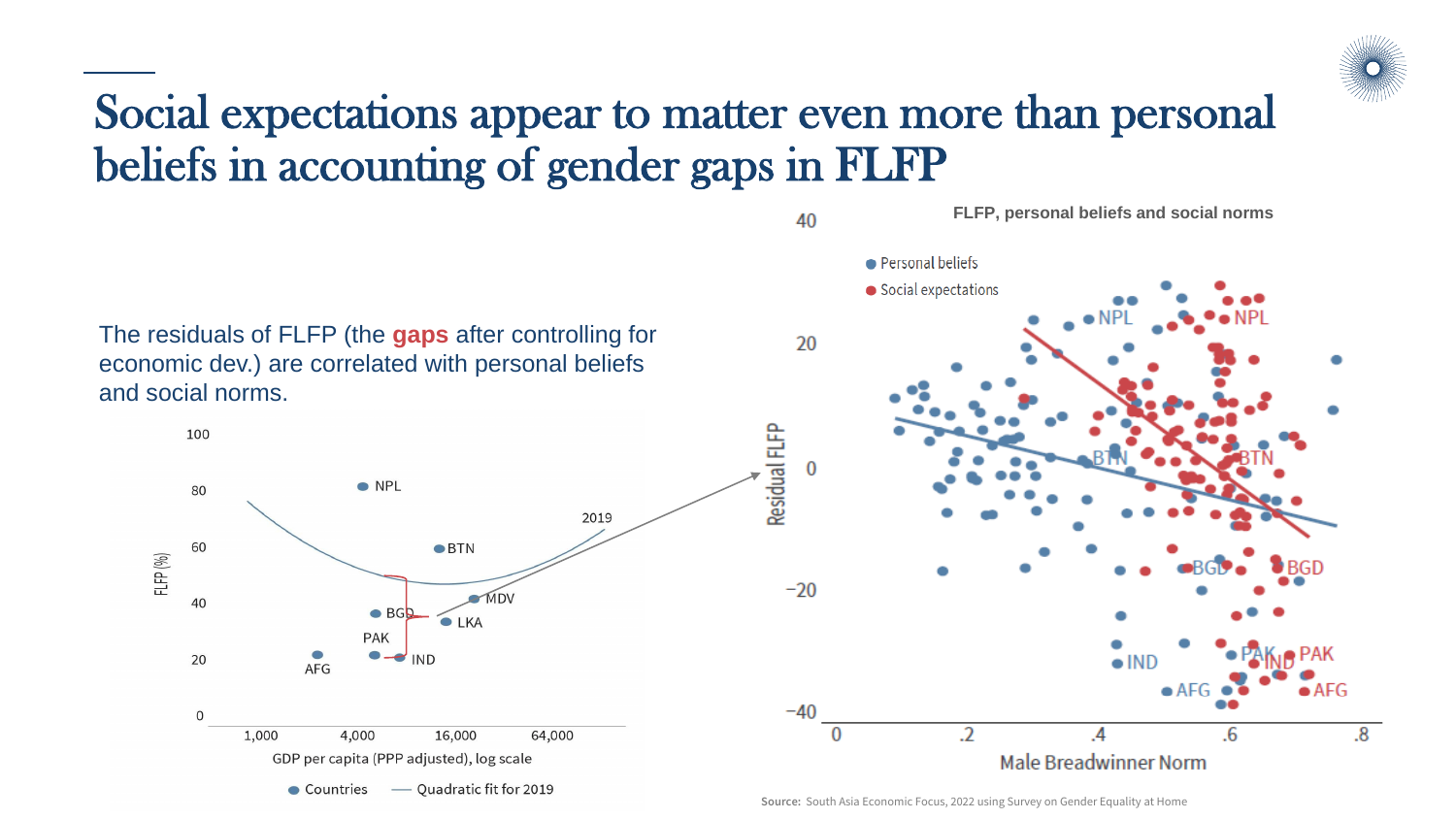

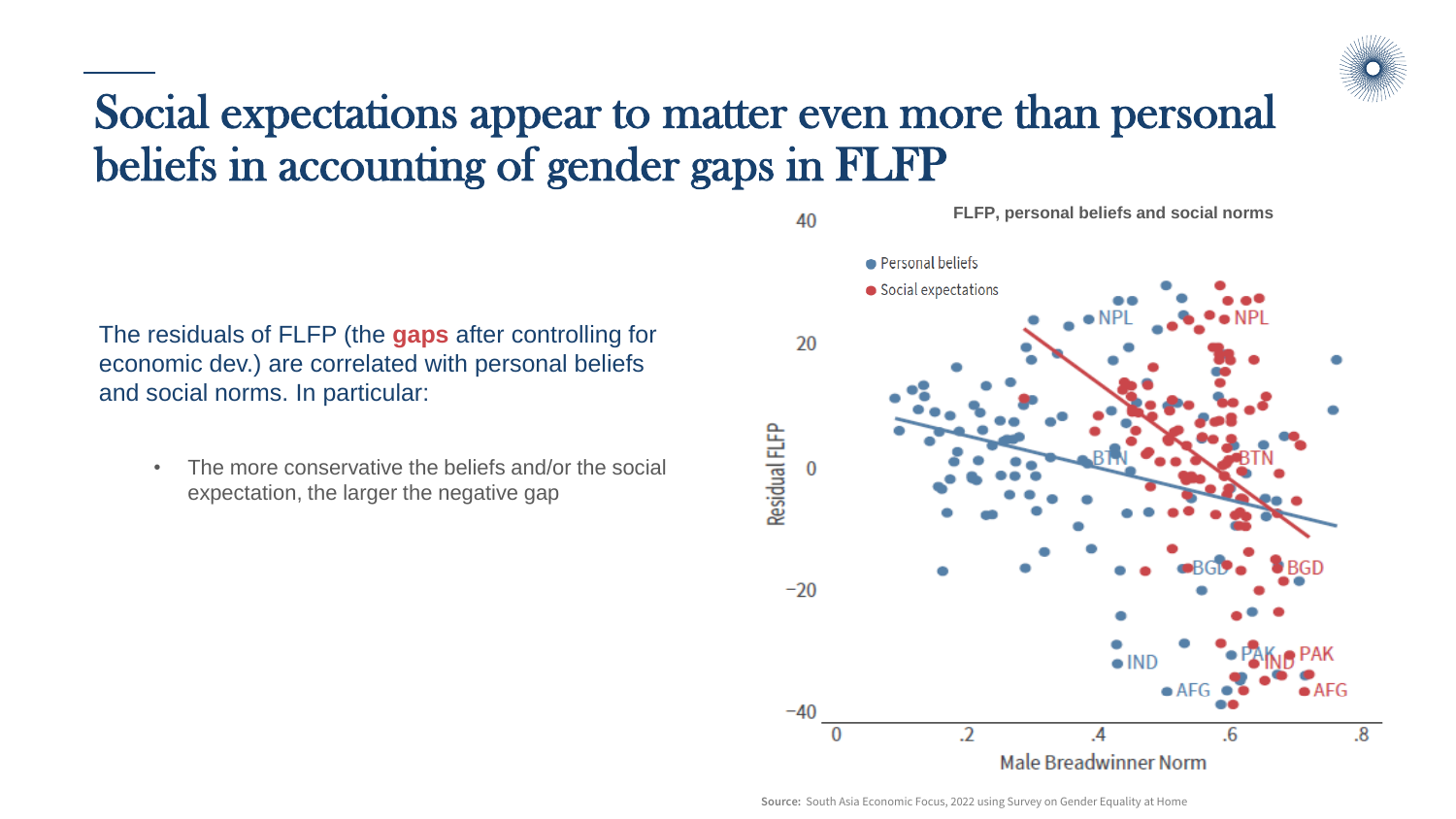

The residuals of FLFP (the **gaps** after controlling for economic dev.) are correlated with personal beliefs and social norms. In particular:

The more conservative the beliefs and/or the social expectation, the larger the negative gap

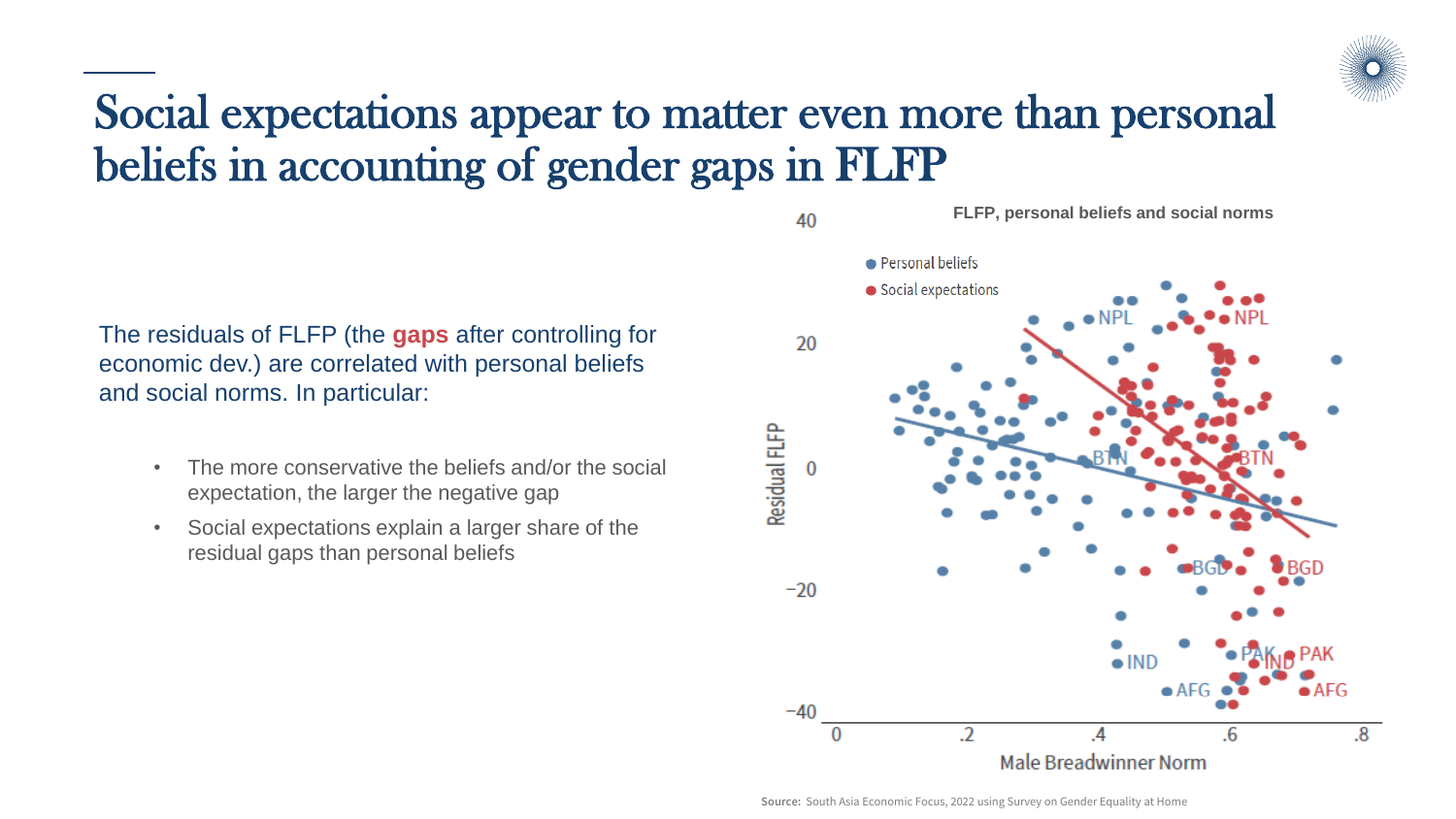

The residuals of FLFP (the **gaps** after controlling for economic dev.) are correlated with personal beliefs and social norms. In particular:

- The more conservative the beliefs and/or the social expectation, the larger the negative gap
- Social expectations explain a larger share of the residual gaps than personal beliefs



**FLFP, personal beliefs and social norms**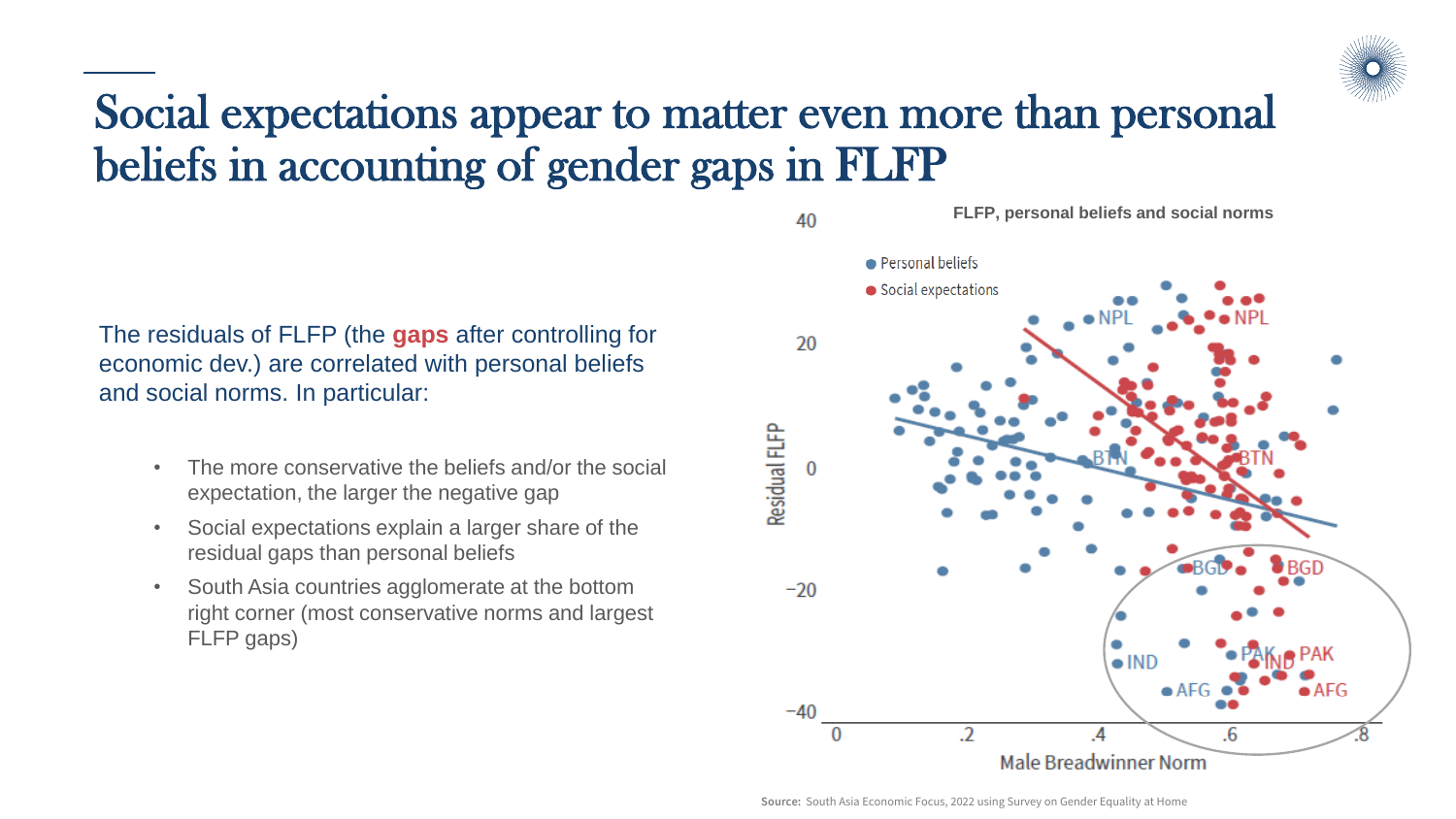

The residuals of FLFP (the **gaps** after controlling for economic dev.) are correlated with personal beliefs and social norms. In particular:

- The more conservative the beliefs and/or the social expectation, the larger the negative gap
- Social expectations explain a larger share of the residual gaps than personal beliefs
- South Asia countries agglomerate at the bottom right corner (most conservative norms and largest FLFP gaps)



**FLFP, personal beliefs and social norms**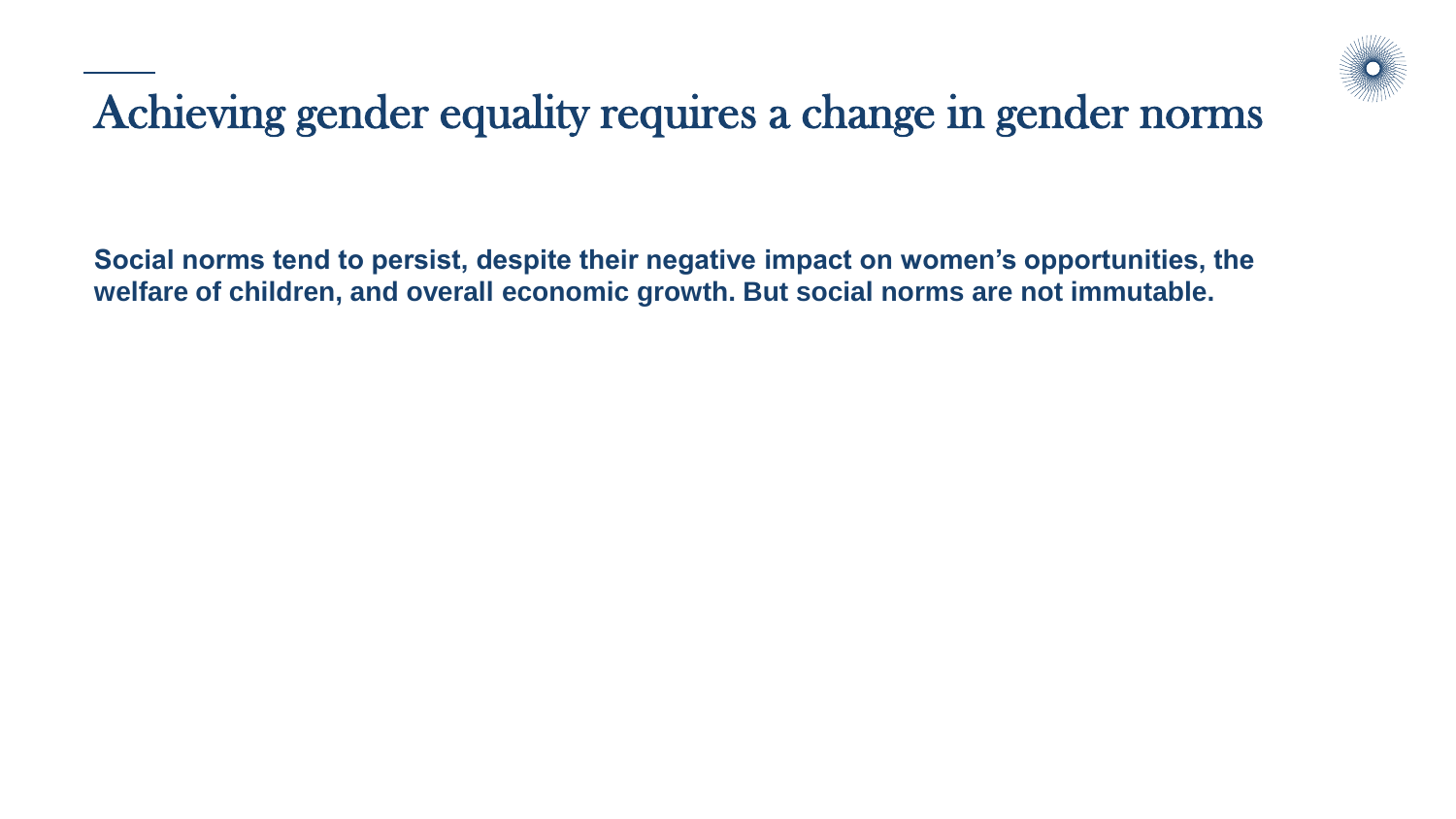

#### Achieving gender equality requires a change in gender norms

**Social norms tend to persist, despite their negative impact on women's opportunities, the welfare of children, and overall economic growth. But social norms are not immutable.**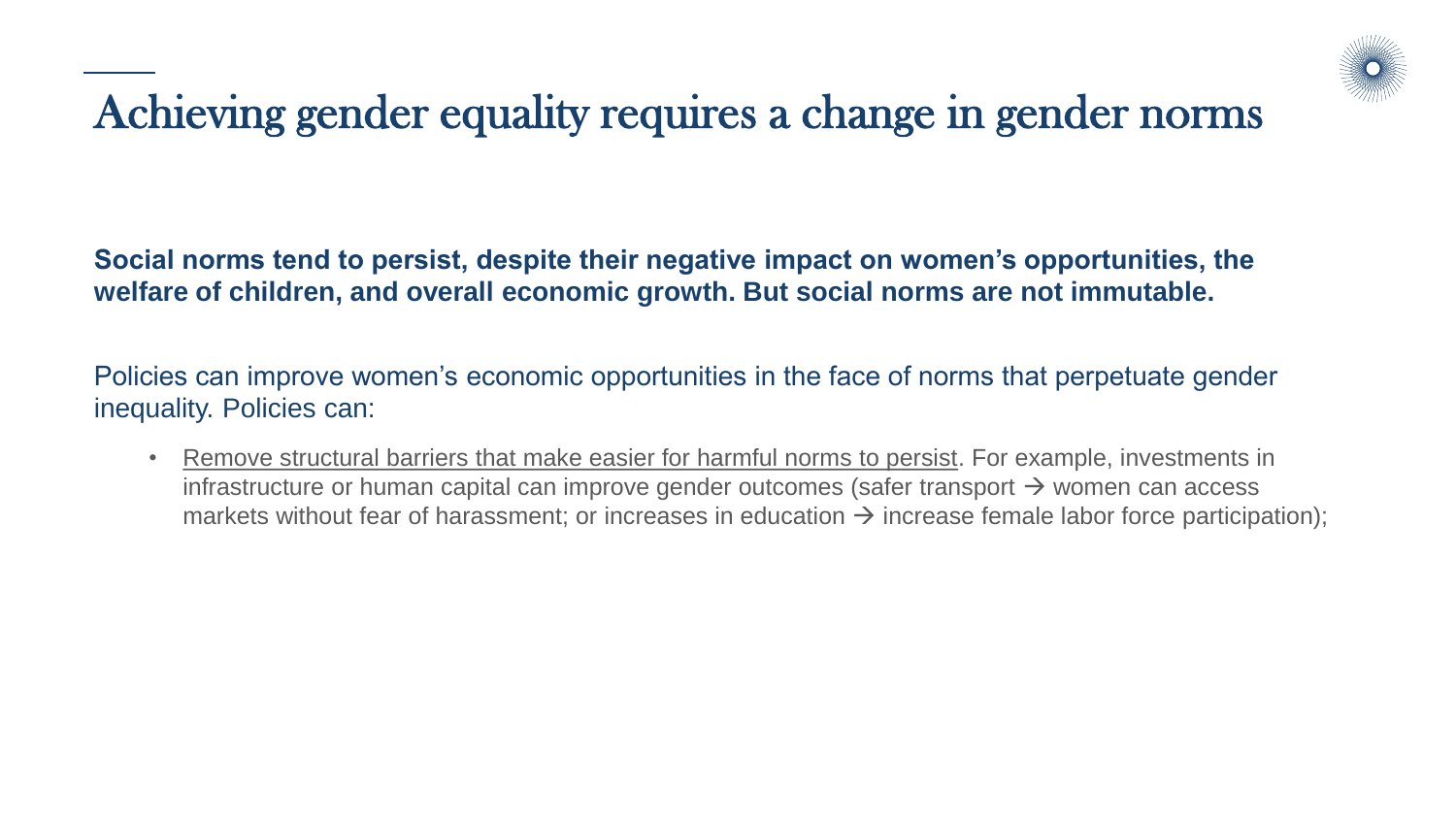

## Achieving gender equality requires a change in gender norms

**Social norms tend to persist, despite their negative impact on women's opportunities, the welfare of children, and overall economic growth. But social norms are not immutable.**

Policies can improve women's economic opportunities in the face of norms that perpetuate gender inequality. Policies can:

• Remove structural barriers that make easier for harmful norms to persist. For example, investments in infrastructure or human capital can improve gender outcomes (safer transport  $\rightarrow$  women can access markets without fear of harassment; or increases in education  $\rightarrow$  increase female labor force participation);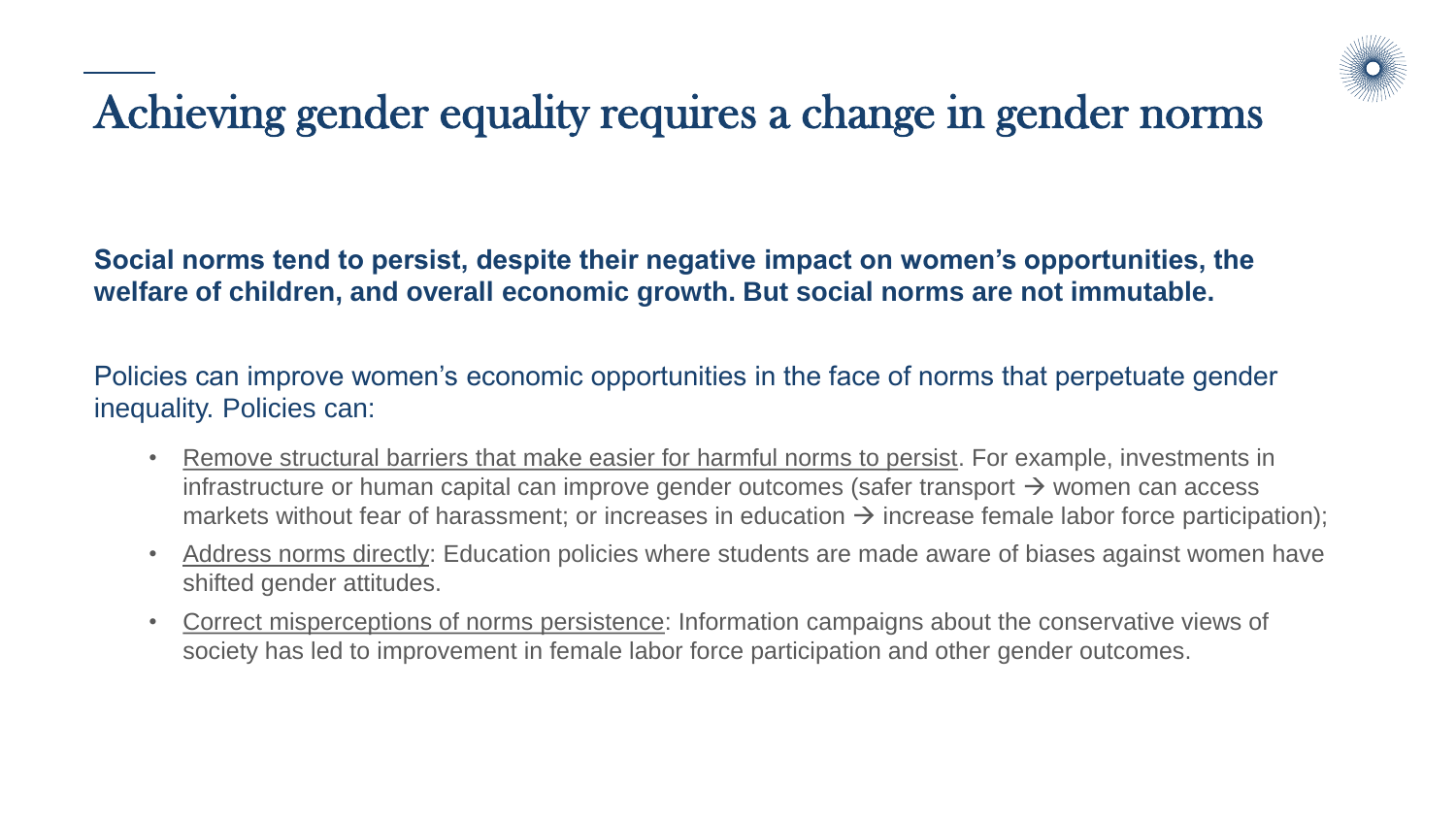

## Achieving gender equality requires a change in gender norms

**Social norms tend to persist, despite their negative impact on women's opportunities, the welfare of children, and overall economic growth. But social norms are not immutable.**

Policies can improve women's economic opportunities in the face of norms that perpetuate gender inequality. Policies can:

- Remove structural barriers that make easier for harmful norms to persist. For example, investments in infrastructure or human capital can improve gender outcomes (safer transport  $\rightarrow$  women can access markets without fear of harassment; or increases in education  $\rightarrow$  increase female labor force participation);
- Address norms directly: Education policies where students are made aware of biases against women have shifted gender attitudes.
- Correct misperceptions of norms persistence: Information campaigns about the conservative views of society has led to improvement in female labor force participation and other gender outcomes.